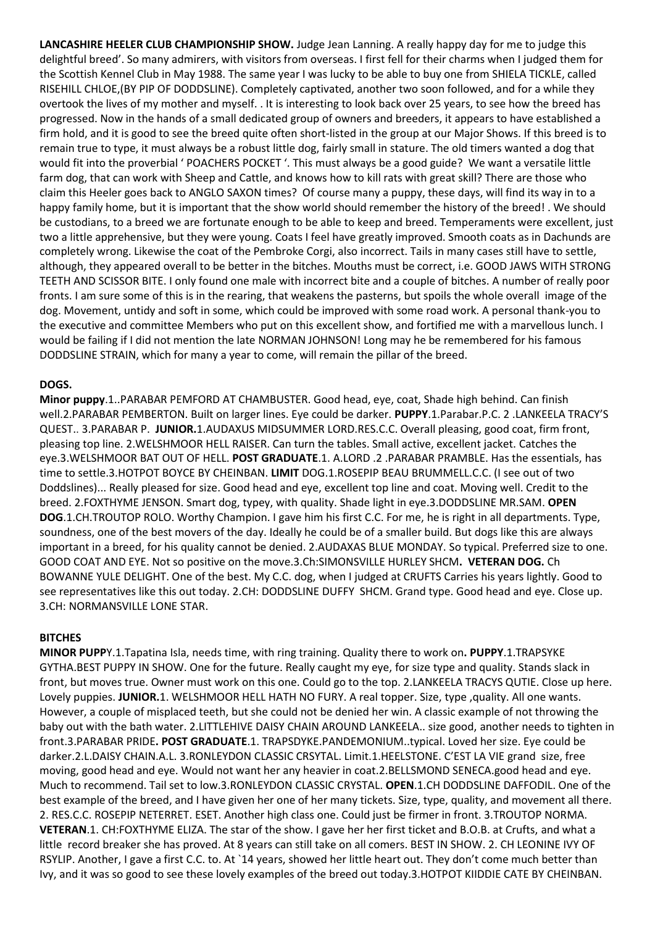**LANCASHIRE HEELER CLUB CHAMPIONSHIP SHOW.** Judge Jean Lanning. A really happy day for me to judge this delightful breed'. So many admirers, with visitors from overseas. I first fell for their charms when I judged them for the Scottish Kennel Club in May 1988. The same year I was lucky to be able to buy one from SHIELA TICKLE, called RISEHILL CHLOE,(BY PIP OF DODDSLINE). Completely captivated, another two soon followed, and for a while they overtook the lives of my mother and myself. . It is interesting to look back over 25 years, to see how the breed has progressed. Now in the hands of a small dedicated group of owners and breeders, it appears to have established a firm hold, and it is good to see the breed quite often short-listed in the group at our Major Shows. If this breed is to remain true to type, it must always be a robust little dog, fairly small in stature. The old timers wanted a dog that would fit into the proverbial ' POACHERS POCKET '. This must always be a good guide? We want a versatile little farm dog, that can work with Sheep and Cattle, and knows how to kill rats with great skill? There are those who claim this Heeler goes back to ANGLO SAXON times? Of course many a puppy, these days, will find its way in to a happy family home, but it is important that the show world should remember the history of the breed! . We should be custodians, to a breed we are fortunate enough to be able to keep and breed. Temperaments were excellent, just two a little apprehensive, but they were young. Coats I feel have greatly improved. Smooth coats as in Dachunds are completely wrong. Likewise the coat of the Pembroke Corgi, also incorrect. Tails in many cases still have to settle, although, they appeared overall to be better in the bitches. Mouths must be correct, i.e. GOOD JAWS WITH STRONG TEETH AND SCISSOR BITE. I only found one male with incorrect bite and a couple of bitches. A number of really poor fronts. I am sure some of this is in the rearing, that weakens the pasterns, but spoils the whole overall image of the dog. Movement, untidy and soft in some, which could be improved with some road work. A personal thank-you to the executive and committee Members who put on this excellent show, and fortified me with a marvellous lunch. I would be failing if I did not mention the late NORMAN JOHNSON! Long may he be remembered for his famous DODDSLINE STRAIN, which for many a year to come, will remain the pillar of the breed.

## **DOGS.**

**Minor puppy**.1..PARABAR PEMFORD AT CHAMBUSTER. Good head, eye, coat, Shade high behind. Can finish well.2.PARABAR PEMBERTON. Built on larger lines. Eye could be darker. **PUPPY**.1.Parabar.P.C. 2 .LANKEELA TRACY'S QUEST.. 3.PARABAR P. **JUNIOR.**1.AUDAXUS MIDSUMMER LORD.RES.C.C. Overall pleasing, good coat, firm front, pleasing top line. 2.WELSHMOOR HELL RAISER. Can turn the tables. Small active, excellent jacket. Catches the eye.3.WELSHMOOR BAT OUT OF HELL. **POST GRADUATE**.1. A.LORD .2 .PARABAR PRAMBLE. Has the essentials, has time to settle.3.HOTPOT BOYCE BY CHEINBAN. **LIMIT** DOG.1.ROSEPIP BEAU BRUMMELL.C.C. (I see out of two Doddslines)... Really pleased for size. Good head and eye, excellent top line and coat. Moving well. Credit to the breed. 2.FOXTHYME JENSON. Smart dog, typey, with quality. Shade light in eye.3.DODDSLINE MR.SAM. **OPEN DOG**.1.CH.TROUTOP ROLO. Worthy Champion. I gave him his first C.C. For me, he is right in all departments. Type, soundness, one of the best movers of the day. Ideally he could be of a smaller build. But dogs like this are always important in a breed, for his quality cannot be denied. 2.AUDAXAS BLUE MONDAY. So typical. Preferred size to one. GOOD COAT AND EYE. Not so positive on the move.3.Ch:SIMONSVILLE HURLEY SHCM**. VETERAN DOG.** Ch BOWANNE YULE DELIGHT. One of the best. My C.C. dog, when I judged at CRUFTS Carries his years lightly. Good to see representatives like this out today. 2.CH: DODDSLINE DUFFY SHCM. Grand type. Good head and eye. Close up. 3.CH: NORMANSVILLE LONE STAR.

## **BITCHES**

**MINOR PUPP**Y.1.Tapatina Isla, needs time, with ring training. Quality there to work on**. PUPPY**.1.TRAPSYKE GYTHA.BEST PUPPY IN SHOW. One for the future. Really caught my eye, for size type and quality. Stands slack in front, but moves true. Owner must work on this one. Could go to the top. 2.LANKEELA TRACYS QUTIE. Close up here. Lovely puppies. **JUNIOR.**1. WELSHMOOR HELL HATH NO FURY. A real topper. Size, type ,quality. All one wants. However, a couple of misplaced teeth, but she could not be denied her win. A classic example of not throwing the baby out with the bath water. 2.LITTLEHIVE DAISY CHAIN AROUND LANKEELA.. size good, another needs to tighten in front.3.PARABAR PRIDE**. POST GRADUATE**.1. TRAPSDYKE.PANDEMONIUM..typical. Loved her size. Eye could be darker.2.L.DAISY CHAIN.A.L. 3.RONLEYDON CLASSIC CRSYTAL. Limit.1.HEELSTONE. C'EST LA VIE grand size, free moving, good head and eye. Would not want her any heavier in coat.2.BELLSMOND SENECA.good head and eye. Much to recommend. Tail set to low.3.RONLEYDON CLASSIC CRYSTAL. **OPEN**.1.CH DODDSLINE DAFFODIL. One of the best example of the breed, and I have given her one of her many tickets. Size, type, quality, and movement all there. 2. RES.C.C. ROSEPIP NETERRET. ESET. Another high class one. Could just be firmer in front. 3.TROUTOP NORMA. **VETERAN**.1. CH:FOXTHYME ELIZA. The star of the show. I gave her her first ticket and B.O.B. at Crufts, and what a little record breaker she has proved. At 8 years can still take on all comers. BEST IN SHOW. 2. CH LEONINE IVY OF RSYLIP. Another, I gave a first C.C. to. At `14 years, showed her little heart out. They don't come much better than Ivy, and it was so good to see these lovely examples of the breed out today.3.HOTPOT KIIDDIE CATE BY CHEINBAN.